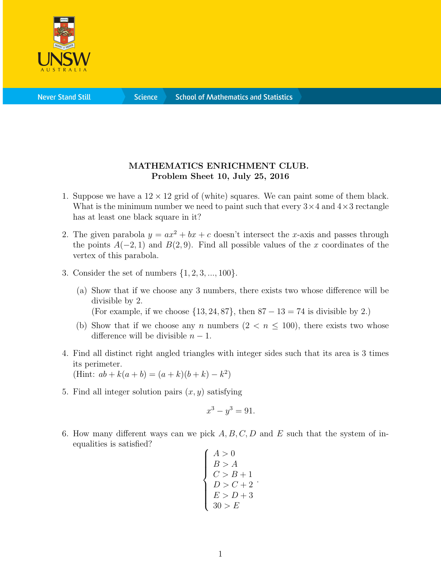

**Science** 

## MATHEMATICS ENRICHMENT CLUB. Problem Sheet 10, July 25, 2016

- 1. Suppose we have a  $12 \times 12$  grid of (white) squares. We can paint some of them black. What is the minimum number we need to paint such that every  $3 \times 4$  and  $4 \times 3$  rectangle has at least one black square in it?
- 2. The given parabola  $y = ax^2 + bx + c$  doesn't intersect the x-axis and passes through the points  $A(-2, 1)$  and  $B(2, 9)$ . Find all possible values of the x coordinates of the vertex of this parabola.
- 3. Consider the set of numbers  $\{1, 2, 3, ..., 100\}.$ 
	- (a) Show that if we choose any 3 numbers, there exists two whose difference will be divisible by 2. (For example, if we choose  $\{13, 24, 87\}$ , then  $87 - 13 = 74$  is divisible by 2.)
	- (b) Show that if we choose any n numbers  $(2 < n \leq 100)$ , there exists two whose difference will be divisible  $n - 1$ .
- 4. Find all distinct right angled triangles with integer sides such that its area is 3 times its perimeter.

(Hint:  $ab + k(a + b) = (a + k)(b + k) - k^2$ )

5. Find all integer solution pairs  $(x, y)$  satisfying

$$
x^3 - y^3 = 91.
$$

6. How many different ways can we pick  $A, B, C, D$  and E such that the system of inequalities is satisfied?

$$
\begin{cases}\nA > 0 \\
B > A \\
C > B + 1 \\
D > C + 2 \\
E > D + 3 \\
30 > E\n\end{cases}
$$

.